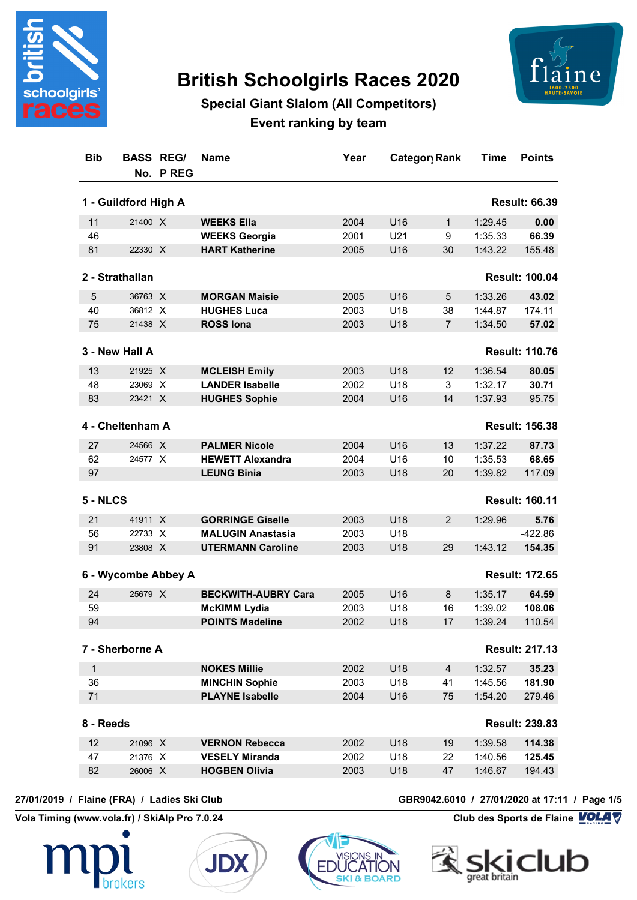

# **British Schoolgirls Races 2020**



## **Special Giant Slalom (All Competitors) Event ranking by team**

| <b>Bib</b>   | <b>BASS REG/</b>     | No. PREG | <b>Name</b>                | Year |                 | Category Rank        | Time    | <b>Points</b>         |
|--------------|----------------------|----------|----------------------------|------|-----------------|----------------------|---------|-----------------------|
|              | 1 - Guildford High A |          |                            |      |                 | <b>Result: 66.39</b> |         |                       |
| 11           | 21400 X              |          | <b>WEEKS Ella</b>          | 2004 | U16             | $\mathbf 1$          | 1:29.45 | 0.00                  |
| 46           |                      |          | <b>WEEKS Georgia</b>       | 2001 | U21             | 9                    | 1:35.33 | 66.39                 |
| 81           | 22330 X              |          | <b>HART Katherine</b>      | 2005 | U16             | 30                   | 1:43.22 | 155.48                |
|              | 2 - Strathallan      |          |                            |      |                 |                      |         | <b>Result: 100.04</b> |
| 5            | 36763 X              |          | <b>MORGAN Maisie</b>       | 2005 | U16             | 5                    | 1:33.26 | 43.02                 |
| 40           | 36812 X              |          | <b>HUGHES Luca</b>         | 2003 | U18             | 38                   | 1:44.87 | 174.11                |
| 75           | 21438 X              |          | <b>ROSS lona</b>           | 2003 | U18             | $\overline{7}$       | 1:34.50 | 57.02                 |
|              | 3 - New Hall A       |          |                            |      |                 |                      |         | <b>Result: 110.76</b> |
| 13           | 21925 X              |          | <b>MCLEISH Emily</b>       | 2003 | U18             | 12                   | 1:36.54 | 80.05                 |
| 48           | 23069 X              |          | <b>LANDER Isabelle</b>     | 2002 | U18             | 3                    | 1:32.17 | 30.71                 |
| 83           | 23421 X              |          | <b>HUGHES Sophie</b>       | 2004 | U16             | 14                   | 1:37.93 | 95.75                 |
|              | 4 - Cheltenham A     |          |                            |      |                 |                      |         | <b>Result: 156.38</b> |
| 27           | 24566 X              |          | <b>PALMER Nicole</b>       | 2004 | U16             | 13                   | 1:37.22 | 87.73                 |
| 62           | 24577 X              |          | <b>HEWETT Alexandra</b>    | 2004 | U16             | 10                   | 1:35.53 | 68.65                 |
| 97           |                      |          | <b>LEUNG Binia</b>         | 2003 | U18             | 20                   | 1:39.82 | 117.09                |
| 5 - NLCS     |                      |          |                            |      |                 |                      |         | <b>Result: 160.11</b> |
| 21           | 41911 X              |          | <b>GORRINGE Giselle</b>    | 2003 | U18             | $\overline{2}$       | 1:29.96 | 5.76                  |
| 56           | 22733 X              |          | <b>MALUGIN Anastasia</b>   | 2003 | U18             |                      |         | $-422.86$             |
| 91           | 23808 X              |          | <b>UTERMANN Caroline</b>   | 2003 | U18             | 29                   | 1:43.12 | 154.35                |
|              | 6 - Wycombe Abbey A  |          |                            |      |                 |                      |         | <b>Result: 172.65</b> |
| 24           | 25679 X              |          | <b>BECKWITH-AUBRY Cara</b> | 2005 | U16             | 8                    | 1:35.17 | 64.59                 |
| 59           |                      |          | <b>McKIMM Lydia</b>        | 2003 | U18             | 16                   | 1:39.02 | 108.06                |
| 94           |                      |          | <b>POINTS Madeline</b>     | 2002 | U18             | 17                   | 1:39.24 | 110.54                |
|              | 7 - Sherborne A      |          |                            |      |                 |                      |         | <b>Result: 217.13</b> |
| $\mathbf{1}$ |                      |          | <b>NOKES Millie</b>        | 2002 | U18             | $\overline{4}$       | 1:32.57 | 35.23                 |
| 36           |                      |          | <b>MINCHIN Sophie</b>      | 2003 | U <sub>18</sub> | 41                   | 1:45.56 | 181.90                |
| 71           |                      |          | <b>PLAYNE Isabelle</b>     | 2004 | U16             | 75                   | 1:54.20 | 279.46                |
| 8 - Reeds    |                      |          |                            |      |                 |                      |         | <b>Result: 239.83</b> |
| 12           | 21096 X              |          | <b>VERNON Rebecca</b>      | 2002 | U18             | 19                   | 1:39.58 | 114.38                |
| 47           | 21376 X              |          | <b>VESELY Miranda</b>      | 2002 | U18             | 22                   | 1:40.56 | 125.45                |
| 82           | 26006 X              |          | <b>HOGBEN Olivia</b>       | 2003 | U18             | 47                   | 1:46.67 | 194.43                |

**Vola Timing (www.vola.fr) / SkiAlp Pro 7.0.24 Club des Sports de Flaine VOLA V** 







**27/01/2019 / Flaine (FRA) / Ladies Ski Club GBR9042.6010 / 27/01/2020 at 17:11 / Page 1/5**

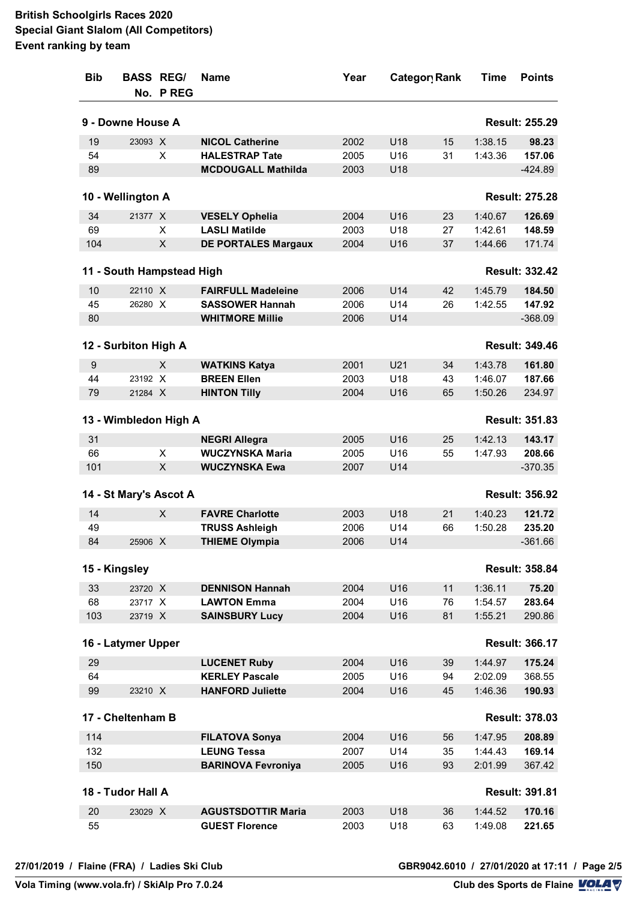| <b>Bib</b> | <b>BASS REGI</b>          | No. PREG | <b>Name</b>                                 | Year         | Categor Rank    |          | Time                  | <b>Points</b>         |  |
|------------|---------------------------|----------|---------------------------------------------|--------------|-----------------|----------|-----------------------|-----------------------|--|
|            | 9 - Downe House A         |          |                                             |              |                 |          | <b>Result: 255.29</b> |                       |  |
| 19         | 23093 X                   |          | <b>NICOL Catherine</b>                      | 2002         | U18             | 15       | 1:38.15               | 98.23                 |  |
| 54         |                           | Χ        | <b>HALESTRAP Tate</b>                       | 2005         | U16             | 31       | 1:43.36               | 157.06                |  |
| 89         |                           |          | <b>MCDOUGALL Mathilda</b>                   | 2003         | U18             |          |                       | $-424.89$             |  |
|            | 10 - Wellington A         |          |                                             |              |                 |          |                       | <b>Result: 275.28</b> |  |
| 34         | 21377 X                   |          | <b>VESELY Ophelia</b>                       | 2004         | U16             | 23       | 1:40.67               | 126.69                |  |
| 69         |                           | X        | <b>LASLI Matilde</b>                        | 2003         | U18             | 27       | 1:42.61               | 148.59                |  |
| 104        |                           | X        | <b>DE PORTALES Margaux</b>                  | 2004         | U16             | 37       | 1:44.66               | 171.74                |  |
|            | 11 - South Hampstead High |          |                                             |              |                 |          |                       | <b>Result: 332.42</b> |  |
| 10         | 22110 X                   |          | <b>FAIRFULL Madeleine</b>                   | 2006         | U14             | 42       | 1:45.79               | 184.50                |  |
| 45         | 26280 X                   |          | <b>SASSOWER Hannah</b>                      | 2006         | U14             | 26       | 1:42.55               | 147.92                |  |
| 80         |                           |          | <b>WHITMORE Millie</b>                      | 2006         | U14             |          |                       | $-368.09$             |  |
|            | 12 - Surbiton High A      |          |                                             |              |                 |          |                       | <b>Result: 349.46</b> |  |
|            |                           | X        |                                             |              |                 |          |                       |                       |  |
| 9          | 23192 X                   |          | <b>WATKINS Katya</b><br><b>BREEN Ellen</b>  | 2001         | U21             | 34       | 1:43.78<br>1:46.07    | 161.80                |  |
| 44<br>79   | 21284 X                   |          | <b>HINTON Tilly</b>                         | 2003<br>2004 | U18<br>U16      | 43<br>65 | 1:50.26               | 187.66<br>234.97      |  |
|            |                           |          |                                             |              |                 |          |                       |                       |  |
|            | 13 - Wimbledon High A     |          |                                             |              |                 |          |                       | <b>Result: 351.83</b> |  |
| 31         |                           |          | <b>NEGRI Allegra</b>                        | 2005         | U16             | 25       | 1:42.13               | 143.17                |  |
| 66         |                           | X        | <b>WUCZYNSKA Maria</b>                      | 2005         | U16             | 55       | 1:47.93               | 208.66                |  |
| 101        |                           | X        | <b>WUCZYNSKA Ewa</b>                        | 2007         | U14             |          |                       | $-370.35$             |  |
|            | 14 - St Mary's Ascot A    |          |                                             |              |                 |          |                       | <b>Result: 356.92</b> |  |
| 14         |                           | X        | <b>FAVRE Charlotte</b>                      | 2003         | U18             | 21       | 1:40.23               | 121.72                |  |
| 49         |                           |          | <b>TRUSS Ashleigh</b>                       | 2006         | U14             | 66       | 1:50.28               | 235.20                |  |
| 84         | 25906 X                   |          | <b>THIEME Olympia</b>                       | 2006         | U14             |          |                       | $-361.66$             |  |
|            | 15 - Kingsley             |          |                                             |              |                 |          |                       | <b>Result: 358.84</b> |  |
| 33         | 23720 X                   |          | <b>DENNISON Hannah</b>                      | 2004         | U16             | 11       | 1:36.11               | 75.20                 |  |
| 68         | 23717 X                   |          | <b>LAWTON Emma</b>                          | 2004         | U <sub>16</sub> | 76       | 1:54.57               | 283.64                |  |
| 103        | 23719 X                   |          | <b>SAINSBURY Lucy</b>                       | 2004         | U16             | 81       | 1:55.21               | 290.86                |  |
|            | 16 - Latymer Upper        |          |                                             |              |                 |          |                       | <b>Result: 366.17</b> |  |
| 29         |                           |          | <b>LUCENET Ruby</b>                         | 2004         | U16             | 39       | 1:44.97               | 175.24                |  |
| 64         |                           |          | <b>KERLEY Pascale</b>                       | 2005         | U16             | 94       | 2:02.09               | 368.55                |  |
| 99         | 23210 X                   |          | <b>HANFORD Juliette</b>                     | 2004         | U16             | 45       | 1:46.36               | 190.93                |  |
|            | 17 - Cheltenham B         |          |                                             |              |                 |          |                       | <b>Result: 378.03</b> |  |
| 114        |                           |          |                                             | 2004         | U16             | 56       |                       |                       |  |
| 132        |                           |          | <b>FILATOVA Sonya</b><br><b>LEUNG Tessa</b> | 2007         | U14             | 35       | 1:47.95<br>1:44.43    | 208.89<br>169.14      |  |
| 150        |                           |          | <b>BARINOVA Fevroniya</b>                   | 2005         | U16             | 93       | 2:01.99               | 367.42                |  |
|            |                           |          |                                             |              |                 |          |                       |                       |  |
|            | 18 - Tudor Hall A         |          |                                             |              |                 |          |                       | <b>Result: 391.81</b> |  |
| 20         | 23029 X                   |          | <b>AGUSTSDOTTIR Maria</b>                   | 2003         | U18             | 36       | 1:44.52               | 170.16                |  |
| 55         |                           |          | <b>GUEST Florence</b>                       | 2003         | U18             | 63       | 1:49.08               | 221.65                |  |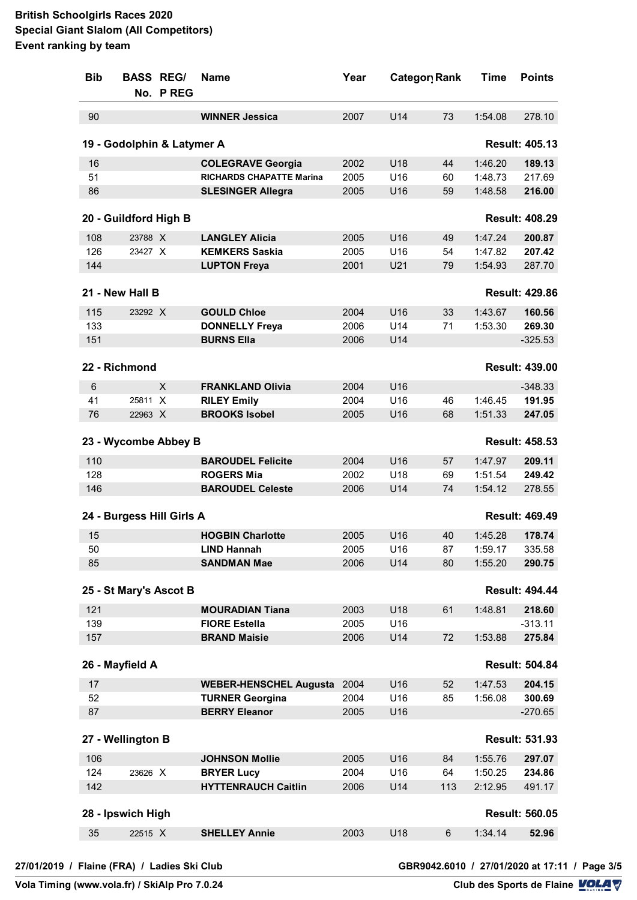| <b>Bib</b> | <b>BASS REG/</b>      | No. P REG                  | <b>Name</b>                     | Year | Category Rank |     | <b>Time</b> | <b>Points</b>         |
|------------|-----------------------|----------------------------|---------------------------------|------|---------------|-----|-------------|-----------------------|
| 90         |                       |                            | <b>WINNER Jessica</b>           | 2007 | U14           | 73  | 1:54.08     | 278.10                |
|            |                       | 19 - Godolphin & Latymer A |                                 |      |               |     |             | <b>Result: 405.13</b> |
| 16         |                       |                            | <b>COLEGRAVE Georgia</b>        | 2002 | U18           | 44  | 1:46.20     | 189.13                |
| 51         |                       |                            | <b>RICHARDS CHAPATTE Marina</b> | 2005 | U16           | 60  | 1:48.73     | 217.69                |
| 86         |                       |                            | <b>SLESINGER Allegra</b>        | 2005 | U16           | 59  | 1:48.58     | 216.00                |
|            | 20 - Guildford High B |                            |                                 |      |               |     |             | <b>Result: 408.29</b> |
| 108        | 23788 X               |                            | <b>LANGLEY Alicia</b>           | 2005 | U16           | 49  | 1:47.24     | 200.87                |
| 126        | 23427 X               |                            | <b>KEMKERS Saskia</b>           | 2005 | U16           | 54  | 1:47.82     | 207.42                |
| 144        |                       |                            | <b>LUPTON Freya</b>             | 2001 | U21           | 79  | 1:54.93     | 287.70                |
|            | 21 - New Hall B       |                            |                                 |      |               |     |             | <b>Result: 429.86</b> |
| 115        | 23292 X               |                            | <b>GOULD Chloe</b>              | 2004 | U16           | 33  | 1:43.67     | 160.56                |
| 133        |                       |                            | <b>DONNELLY Freya</b>           | 2006 | U14           | 71  | 1:53.30     | 269.30                |
| 151        |                       |                            | <b>BURNS Ella</b>               | 2006 | U14           |     |             | $-325.53$             |
|            | 22 - Richmond         |                            |                                 |      |               |     |             | <b>Result: 439.00</b> |
| 6          |                       | X                          | <b>FRANKLAND Olivia</b>         | 2004 | U16           |     |             | $-348.33$             |
| 41         | 25811 X               |                            | <b>RILEY Emily</b>              | 2004 | U16           | 46  | 1:46.45     | 191.95                |
| 76         | 22963 X               |                            | <b>BROOKS Isobel</b>            | 2005 | U16           | 68  | 1:51.33     | 247.05                |
|            |                       | 23 - Wycombe Abbey B       |                                 |      |               |     |             | <b>Result: 458.53</b> |
| 110        |                       |                            | <b>BAROUDEL Felicite</b>        | 2004 | U16           | 57  | 1:47.97     | 209.11                |
| 128        |                       |                            | <b>ROGERS Mia</b>               | 2002 | U18           | 69  | 1:51.54     | 249.42                |
| 146        |                       |                            | <b>BAROUDEL Celeste</b>         | 2006 | U14           | 74  | 1:54.12     | 278.55                |
|            |                       | 24 - Burgess Hill Girls A  |                                 |      |               |     |             | <b>Result: 469.49</b> |
| 15         |                       |                            | <b>HOGBIN Charlotte</b>         | 2005 | U16           | 40  | 1:45.28     | 178.74                |
| 50         |                       |                            | <b>LIND Hannah</b>              | 2005 | U16           | 87  | 1:59.17     | 335.58                |
| 85         |                       |                            | <b>SANDMAN Mae</b>              | 2006 | U14           | 80  | 1:55.20     | 290.75                |
|            |                       | 25 - St Mary's Ascot B     |                                 |      |               |     |             | <b>Result: 494.44</b> |
| 121        |                       |                            | <b>MOURADIAN Tiana</b>          | 2003 | U18           | 61  | 1:48.81     | 218.60                |
| 139        |                       |                            | <b>FIORE Estella</b>            | 2005 | U16           |     |             | $-313.11$             |
| 157        |                       |                            | <b>BRAND Maisie</b>             | 2006 | U14           | 72  | 1:53.88     | 275.84                |
|            | 26 - Mayfield A       |                            |                                 |      |               |     |             | <b>Result: 504.84</b> |
| 17         |                       |                            | <b>WEBER-HENSCHEL Augusta</b>   | 2004 | U16           | 52  | 1:47.53     | 204.15                |
| 52         |                       |                            | <b>TURNER Georgina</b>          | 2004 | U16           | 85  | 1:56.08     | 300.69                |
| 87         |                       |                            | <b>BERRY Eleanor</b>            | 2005 | U16           |     |             | $-270.65$             |
|            | 27 - Wellington B     |                            |                                 |      |               |     |             | <b>Result: 531.93</b> |
| 106        |                       |                            | <b>JOHNSON Mollie</b>           | 2005 | U16           | 84  | 1:55.76     | 297.07                |
| 124        | 23626 X               |                            | <b>BRYER Lucy</b>               | 2004 | U16           | 64  | 1:50.25     | 234.86                |
| 142        |                       |                            | <b>HYTTENRAUCH Caitlin</b>      | 2006 | U14           | 113 | 2:12.95     | 491.17                |
|            | 28 - Ipswich High     |                            |                                 |      |               |     |             | <b>Result: 560.05</b> |
| 35         | 22515 X               |                            | <b>SHELLEY Annie</b>            | 2003 | U18           | 6   | 1:34.14     | 52.96                 |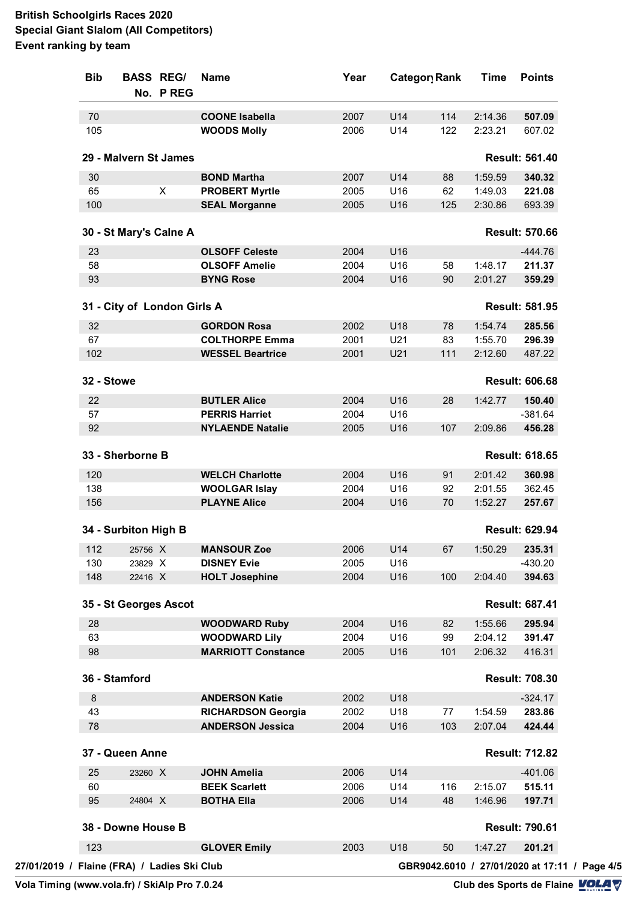| <b>Bib</b> | <b>BASS REG/</b>                            | No. PREG       | <b>Name</b>               | Year |     | Category Rank | <b>Time</b>                                   | <b>Points</b>         |
|------------|---------------------------------------------|----------------|---------------------------|------|-----|---------------|-----------------------------------------------|-----------------------|
| 70         |                                             |                | <b>COONE Isabella</b>     | 2007 | U14 | 114           | 2:14.36                                       | 507.09                |
| 105        |                                             |                | <b>WOODS Molly</b>        | 2006 | U14 | 122           | 2:23.21                                       | 607.02                |
|            | 29 - Malvern St James                       |                |                           |      |     |               |                                               | <b>Result: 561.40</b> |
| 30         |                                             |                | <b>BOND Martha</b>        | 2007 | U14 | 88            | 1:59.59                                       | 340.32                |
| 65         |                                             | $\pmb{\times}$ | <b>PROBERT Myrtle</b>     | 2005 | U16 | 62            | 1:49.03                                       | 221.08                |
| 100        |                                             |                | <b>SEAL Morganne</b>      | 2005 | U16 | 125           | 2:30.86                                       | 693.39                |
|            | 30 - St Mary's Calne A                      |                |                           |      |     |               |                                               | <b>Result: 570.66</b> |
| 23         |                                             |                | <b>OLSOFF Celeste</b>     | 2004 | U16 |               |                                               | $-444.76$             |
| 58         |                                             |                | <b>OLSOFF Amelie</b>      | 2004 | U16 | 58            | 1:48.17                                       | 211.37                |
| 93         |                                             |                | <b>BYNG Rose</b>          | 2004 | U16 | 90            | 2:01.27                                       | 359.29                |
|            | 31 - City of London Girls A                 |                |                           |      |     |               |                                               | <b>Result: 581.95</b> |
| 32         |                                             |                | <b>GORDON Rosa</b>        | 2002 | U18 | 78            | 1:54.74                                       | 285.56                |
| 67         |                                             |                | <b>COLTHORPE Emma</b>     | 2001 | U21 | 83            | 1:55.70                                       | 296.39                |
| 102        |                                             |                | <b>WESSEL Beartrice</b>   | 2001 | U21 | 111           | 2:12.60                                       | 487.22                |
| 32 - Stowe |                                             |                |                           |      |     |               |                                               | <b>Result: 606.68</b> |
| 22         |                                             |                | <b>BUTLER Alice</b>       | 2004 | U16 | 28            | 1:42.77                                       | 150.40                |
| 57         |                                             |                | <b>PERRIS Harriet</b>     | 2004 | U16 |               |                                               | $-381.64$             |
| 92         |                                             |                | <b>NYLAENDE Natalie</b>   | 2005 | U16 | 107           | 2:09.86                                       | 456.28                |
|            | 33 - Sherborne B                            |                |                           |      |     |               |                                               | <b>Result: 618.65</b> |
| 120        |                                             |                | <b>WELCH Charlotte</b>    | 2004 | U16 | 91            | 2:01.42                                       | 360.98                |
| 138        |                                             |                | <b>WOOLGAR Islay</b>      | 2004 | U16 | 92            | 2:01.55                                       | 362.45                |
| 156        |                                             |                | <b>PLAYNE Alice</b>       | 2004 | U16 | 70            | 1:52.27                                       | 257.67                |
|            | 34 - Surbiton High B                        |                |                           |      |     |               |                                               | <b>Result: 629.94</b> |
| 112        | 25756 X                                     |                | <b>MANSOUR Zoe</b>        | 2006 | U14 | 67            | 1:50.29                                       | 235.31                |
| 130        | 23829 X                                     |                | <b>DISNEY Evie</b>        | 2005 | U16 |               |                                               | $-430.20$             |
| 148        | 22416 X                                     |                | <b>HOLT Josephine</b>     | 2004 | U16 | 100           | 2:04.40                                       | 394.63                |
|            | 35 - St Georges Ascot                       |                |                           |      |     |               |                                               | <b>Result: 687.41</b> |
| 28         |                                             |                | <b>WOODWARD Ruby</b>      | 2004 | U16 | 82            | 1:55.66                                       | 295.94                |
| 63         |                                             |                | <b>WOODWARD Lily</b>      | 2004 | U16 | 99            | 2:04.12                                       | 391.47                |
| 98         |                                             |                | <b>MARRIOTT Constance</b> | 2005 | U16 | 101           | 2:06.32                                       | 416.31                |
|            | 36 - Stamford                               |                |                           |      |     |               |                                               | <b>Result: 708.30</b> |
| 8          |                                             |                | <b>ANDERSON Katie</b>     | 2002 | U18 |               |                                               | $-324.17$             |
| 43         |                                             |                | <b>RICHARDSON Georgia</b> | 2002 | U18 | 77            | 1:54.59                                       | 283.86                |
| 78         |                                             |                | <b>ANDERSON Jessica</b>   | 2004 | U16 | 103           | 2:07.04                                       | 424.44                |
|            | 37 - Queen Anne                             |                |                           |      |     |               |                                               | <b>Result: 712.82</b> |
| 25         | 23260 X                                     |                | <b>JOHN Amelia</b>        | 2006 | U14 |               |                                               | $-401.06$             |
| 60         |                                             |                | <b>BEEK Scarlett</b>      | 2006 | U14 | 116           | 2:15.07                                       | 515.11                |
| 95         | 24804 X                                     |                | <b>BOTHA Ella</b>         | 2006 | U14 | 48            | 1:46.96                                       | 197.71                |
|            | 38 - Downe House B                          |                |                           |      |     |               |                                               | <b>Result: 790.61</b> |
| 123        |                                             |                | <b>GLOVER Emily</b>       | 2003 | U18 | 50            | 1:47.27                                       | 201.21                |
|            | 27/01/2019 / Flaine (FRA) / Ladies Ski Club |                |                           |      |     |               | GBR9042.6010 / 27/01/2020 at 17:11 / Page 4/5 |                       |
|            |                                             |                |                           |      |     |               |                                               |                       |